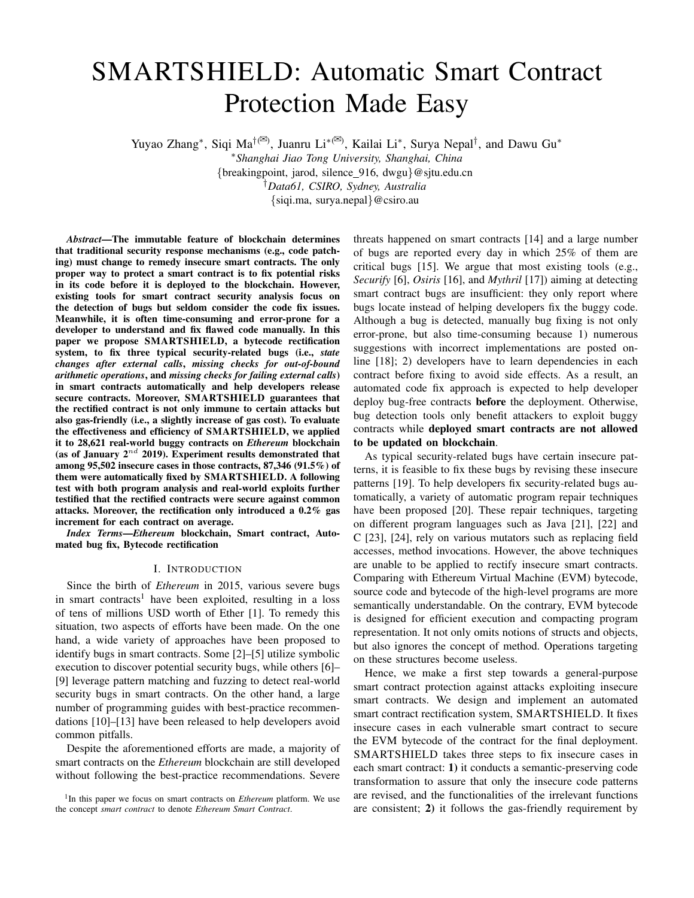# SMARTSHIELD: Automatic Smart Contract Protection Made Easy

Yuyao Zhang\*, Siqi Ma<sup>†(⊠)</sup>, Juanru Li<sup>\*(⊠)</sup>, Kailai Li<sup>\*</sup>, Surya Nepal<sup>†</sup>, and Dawu Gu<sup>\*</sup>

<sup>∗</sup>*Shanghai Jiao Tong University, Shanghai, China*

{breakingpoint, jarod, silence 916, dwgu}@sjtu.edu.cn

†*Data61, CSIRO, Sydney, Australia*

{siqi.ma, surya.nepal}@csiro.au

*Abstract*—The immutable feature of blockchain determines that traditional security response mechanisms (e.g., code patching) must change to remedy insecure smart contracts. The only proper way to protect a smart contract is to fix potential risks in its code before it is deployed to the blockchain. However, existing tools for smart contract security analysis focus on the detection of bugs but seldom consider the code fix issues. Meanwhile, it is often time-consuming and error-prone for a developer to understand and fix flawed code manually. In this paper we propose SMARTSHIELD, a bytecode rectification system, to fix three typical security-related bugs (i.e., *state changes after external calls*, *missing checks for out-of-bound arithmetic operations*, and *missing checks for failing external calls*) in smart contracts automatically and help developers release secure contracts. Moreover, SMARTSHIELD guarantees that the rectified contract is not only immune to certain attacks but also gas-friendly (i.e., a slightly increase of gas cost). To evaluate the effectiveness and efficiency of SMARTSHIELD, we applied it to 28,621 real-world buggy contracts on *Ethereum* blockchain (as of January  $2^{nd}$  2019). Experiment results demonstrated that among 95,502 insecure cases in those contracts, 87,346 (91.5%) of them were automatically fixed by SMARTSHIELD. A following test with both program analysis and real-world exploits further testified that the rectified contracts were secure against common attacks. Moreover, the rectification only introduced a 0.2% gas increment for each contract on average.

*Index Terms*—*Ethereum* blockchain, Smart contract, Automated bug fix, Bytecode rectification

# I. INTRODUCTION

Since the birth of *Ethereum* in 2015, various severe bugs in smart contracts<sup>1</sup> have been exploited, resulting in a loss of tens of millions USD worth of Ether [1]. To remedy this situation, two aspects of efforts have been made. On the one hand, a wide variety of approaches have been proposed to identify bugs in smart contracts. Some [2]–[5] utilize symbolic execution to discover potential security bugs, while others [6]– [9] leverage pattern matching and fuzzing to detect real-world security bugs in smart contracts. On the other hand, a large number of programming guides with best-practice recommendations [10]–[13] have been released to help developers avoid common pitfalls.

Despite the aforementioned efforts are made, a majority of smart contracts on the *Ethereum* blockchain are still developed without following the best-practice recommendations. Severe

<sup>1</sup>In this paper we focus on smart contracts on *Ethereum* platform. We use the concept *smart contract* to denote *Ethereum Smart Contract*.

threats happened on smart contracts [14] and a large number of bugs are reported every day in which 25% of them are critical bugs [15]. We argue that most existing tools (e.g., *Securify* [6], *Osiris* [16], and *Mythril* [17]) aiming at detecting smart contract bugs are insufficient: they only report where bugs locate instead of helping developers fix the buggy code. Although a bug is detected, manually bug fixing is not only error-prone, but also time-consuming because 1) numerous suggestions with incorrect implementations are posted online [18]; 2) developers have to learn dependencies in each contract before fixing to avoid side effects. As a result, an automated code fix approach is expected to help developer deploy bug-free contracts before the deployment. Otherwise, bug detection tools only benefit attackers to exploit buggy contracts while deployed smart contracts are not allowed to be updated on blockchain.

As typical security-related bugs have certain insecure patterns, it is feasible to fix these bugs by revising these insecure patterns [19]. To help developers fix security-related bugs automatically, a variety of automatic program repair techniques have been proposed [20]. These repair techniques, targeting on different program languages such as Java [21], [22] and C [23], [24], rely on various mutators such as replacing field accesses, method invocations. However, the above techniques are unable to be applied to rectify insecure smart contracts. Comparing with Ethereum Virtual Machine (EVM) bytecode, source code and bytecode of the high-level programs are more semantically understandable. On the contrary, EVM bytecode is designed for efficient execution and compacting program representation. It not only omits notions of structs and objects, but also ignores the concept of method. Operations targeting on these structures become useless.

Hence, we make a first step towards a general-purpose smart contract protection against attacks exploiting insecure smart contracts. We design and implement an automated smart contract rectification system, SMARTSHIELD. It fixes insecure cases in each vulnerable smart contract to secure the EVM bytecode of the contract for the final deployment. SMARTSHIELD takes three steps to fix insecure cases in each smart contract: 1) it conducts a semantic-preserving code transformation to assure that only the insecure code patterns are revised, and the functionalities of the irrelevant functions are consistent; 2) it follows the gas-friendly requirement by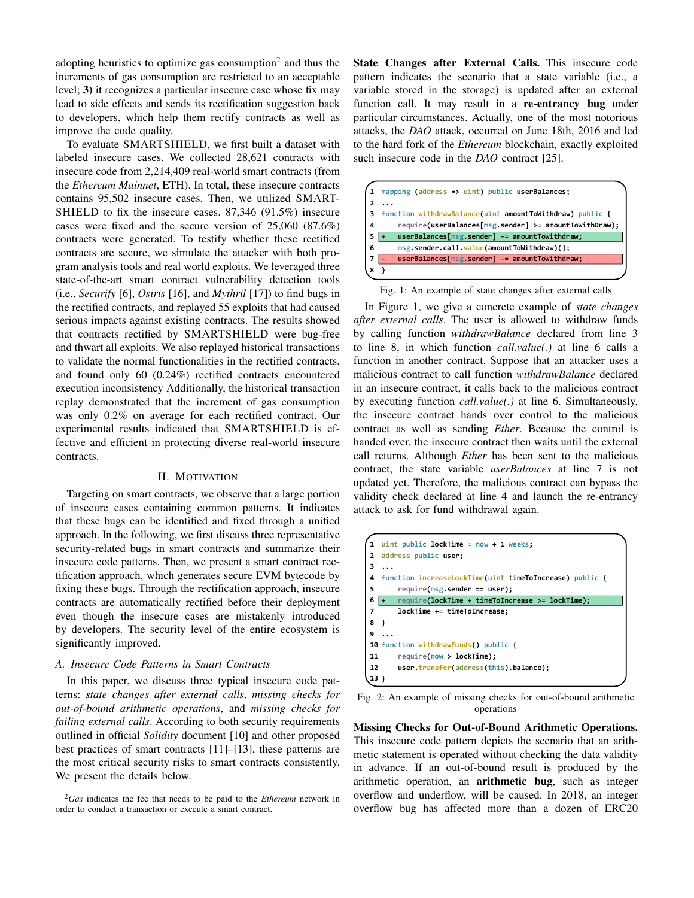adopting heuristics to optimize gas consumption<sup>2</sup> and thus the increments of gas consumption are restricted to an acceptable level; 3) it recognizes a particular insecure case whose fix may lead to side effects and sends its rectification suggestion back to developers, which help them rectify contracts as well as improve the code quality.

To evaluate SMARTSHIELD, we first built a dataset with labeled insecure cases. We collected 28,621 contracts with insecure code from 2,214,409 real-world smart contracts (from the *Ethereum Mainnet*, ETH). In total, these insecure contracts contains 95,502 insecure cases. Then, we utilized SMART-SHIELD to fix the insecure cases. 87,346 (91.5%) insecure cases were fixed and the secure version of 25,060 (87.6%) contracts were generated. To testify whether these rectified contracts are secure, we simulate the attacker with both program analysis tools and real world exploits. We leveraged three state-of-the-art smart contract vulnerability detection tools (i.e., *Securify* [6], *Osiris* [16], and *Mythril* [17]) to find bugs in the rectified contracts, and replayed 55 exploits that had caused serious impacts against existing contracts. The results showed that contracts rectified by SMARTSHIELD were bug-free and thwart all exploits. We also replayed historical transactions to validate the normal functionalities in the rectified contracts, and found only 60 (0.24%) rectified contracts encountered execution inconsistency Additionally, the historical transaction replay demonstrated that the increment of gas consumption was only 0.2% on average for each rectified contract. Our experimental results indicated that SMARTSHIELD is effective and efficient in protecting diverse real-world insecure contracts.

#### II. MOTIVATION

Targeting on smart contracts, we observe that a large portion of insecure cases containing common patterns. It indicates that these bugs can be identified and fixed through a unified approach. In the following, we first discuss three representative security-related bugs in smart contracts and summarize their insecure code patterns. Then, we present a smart contract rectification approach, which generates secure EVM bytecode by fixing these bugs. Through the rectification approach, insecure contracts are automatically rectified before their deployment even though the insecure cases are mistakenly introduced by developers. The security level of the entire ecosystem is significantly improved.

## *A. Insecure Code Patterns in Smart Contracts*

In this paper, we discuss three typical insecure code patterns: *state changes after external calls*, *missing checks for out-of-bound arithmetic operations*, and *missing checks for failing external calls*. According to both security requirements outlined in official *Solidity* document [10] and other proposed best practices of smart contracts [11]–[13], these patterns are the most critical security risks to smart contracts consistently. We present the details below.

State Changes after External Calls. This insecure code pattern indicates the scenario that a state variable (i.e., a variable stored in the storage) is updated after an external function call. It may result in a re-entrancy bug under particular circumstances. Actually, one of the most notorious attacks, the *DAO* attack, occurred on June 18th, 2016 and led to the hard fork of the *Ethereum* blockchain, exactly exploited such insecure code in the *DAO* contract [25].



Fig. 1: An example of state changes after external calls

In Figure 1, we give a concrete example of *state changes after external calls*. The user is allowed to withdraw funds by calling function *withdrawBalance* declared from line 3 to line 8, in which function *call.value(.)* at line 6 calls a function in another contract. Suppose that an attacker uses a malicious contract to call function *withdrawBalance* declared in an insecure contract, it calls back to the malicious contract by executing function *call.value(.)* at line 6. Simultaneously, the insecure contract hands over control to the malicious contract as well as sending *Ether*. Because the control is handed over, the insecure contract then waits until the external call returns. Although *Ether* has been sent to the malicious contract, the state variable *userBalances* at line 7 is not updated yet. Therefore, the malicious contract can bypass the validity check declared at line 4 and launch the re-entrancy attack to ask for fund withdrawal again.

|     | uint public lockTime = $now + 1 weeks$ ;                |
|-----|---------------------------------------------------------|
| l 2 | address public user;                                    |
| ıз  |                                                         |
| 4   | function increaseLockTime(uint timeToIncrease) public { |
| l 5 | $require(msg.sender == user);$                          |
| 6   | require(lockTime + timeToIncrease >= lockTime);         |
|     | lockTime += timeToIncrease:                             |
| я   |                                                         |
| 9   |                                                         |
|     | 10 function withdrawFunds() public {                    |
| 11  | require(now > lockTime);                                |
| 12  | user.transfer(address(this).balance);                   |
|     |                                                         |

Fig. 2: An example of missing checks for out-of-bound arithmetic operations

Missing Checks for Out-of-Bound Arithmetic Operations. This insecure code pattern depicts the scenario that an arithmetic statement is operated without checking the data validity in advance. If an out-of-bound result is produced by the arithmetic operation, an arithmetic bug, such as integer overflow and underflow, will be caused. In 2018, an integer overflow bug has affected more than a dozen of ERC20

<sup>2</sup>*Gas* indicates the fee that needs to be paid to the *Ethereum* network in order to conduct a transaction or execute a smart contract.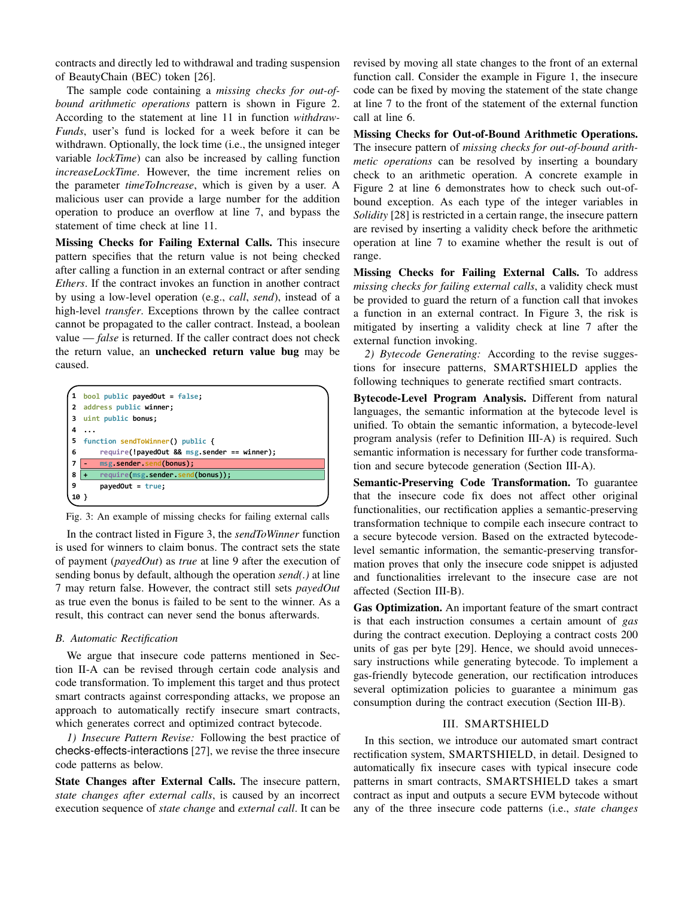contracts and directly led to withdrawal and trading suspension of BeautyChain (BEC) token [26].

The sample code containing a *missing checks for out-ofbound arithmetic operations* pattern is shown in Figure 2. According to the statement at line 11 in function *withdraw-Funds*, user's fund is locked for a week before it can be withdrawn. Optionally, the lock time (i.e., the unsigned integer variable *lockTime*) can also be increased by calling function *increaseLockTime*. However, the time increment relies on the parameter *timeToIncrease*, which is given by a user. A malicious user can provide a large number for the addition operation to produce an overflow at line 7, and bypass the statement of time check at line 11.

Missing Checks for Failing External Calls. This insecure pattern specifies that the return value is not being checked after calling a function in an external contract or after sending *Ethers*. If the contract invokes an function in another contract by using a low-level operation (e.g., *call*, *send*), instead of a high-level *transfer*. Exceptions thrown by the callee contract cannot be propagated to the caller contract. Instead, a boolean value — *false* is returned. If the caller contract does not check the return value, an unchecked return value bug may be caused.

|   | bool public payedOut = false;               |
|---|---------------------------------------------|
| 2 | address public winner:                      |
| 3 | uint public bonus;                          |
| 4 |                                             |
| 5 | function sendToWinner() public {            |
| 6 | require(!payedOut && msg.sender == winner); |
|   |                                             |
| 7 | msg.sender.send(bonus);                     |
| 8 | require(msg.sender.send(bonus));            |
| 9 | $pavedOut = true;$                          |

Fig. 3: An example of missing checks for failing external calls

In the contract listed in Figure 3, the *sendToWinner* function is used for winners to claim bonus. The contract sets the state of payment (*payedOut*) as *true* at line 9 after the execution of sending bonus by default, although the operation *send(.)* at line 7 may return false. However, the contract still sets *payedOut* as true even the bonus is failed to be sent to the winner. As a result, this contract can never send the bonus afterwards.

## *B. Automatic Rectification*

We argue that insecure code patterns mentioned in Section II-A can be revised through certain code analysis and code transformation. To implement this target and thus protect smart contracts against corresponding attacks, we propose an approach to automatically rectify insecure smart contracts, which generates correct and optimized contract bytecode.

*1) Insecure Pattern Revise:* Following the best practice of checks-effects-interactions [27], we revise the three insecure code patterns as below.

State Changes after External Calls. The insecure pattern, *state changes after external calls*, is caused by an incorrect execution sequence of *state change* and *external call*. It can be revised by moving all state changes to the front of an external function call. Consider the example in Figure 1, the insecure code can be fixed by moving the statement of the state change at line 7 to the front of the statement of the external function call at line 6.

Missing Checks for Out-of-Bound Arithmetic Operations. The insecure pattern of *missing checks for out-of-bound arithmetic operations* can be resolved by inserting a boundary check to an arithmetic operation. A concrete example in Figure 2 at line 6 demonstrates how to check such out-ofbound exception. As each type of the integer variables in *Solidity* [28] is restricted in a certain range, the insecure pattern are revised by inserting a validity check before the arithmetic operation at line 7 to examine whether the result is out of range.

Missing Checks for Failing External Calls. To address *missing checks for failing external calls*, a validity check must be provided to guard the return of a function call that invokes a function in an external contract. In Figure 3, the risk is mitigated by inserting a validity check at line 7 after the external function invoking.

*2) Bytecode Generating:* According to the revise suggestions for insecure patterns, SMARTSHIELD applies the following techniques to generate rectified smart contracts.

Bytecode-Level Program Analysis. Different from natural languages, the semantic information at the bytecode level is unified. To obtain the semantic information, a bytecode-level program analysis (refer to Definition III-A) is required. Such semantic information is necessary for further code transformation and secure bytecode generation (Section III-A).

Semantic-Preserving Code Transformation. To guarantee that the insecure code fix does not affect other original functionalities, our rectification applies a semantic-preserving transformation technique to compile each insecure contract to a secure bytecode version. Based on the extracted bytecodelevel semantic information, the semantic-preserving transformation proves that only the insecure code snippet is adjusted and functionalities irrelevant to the insecure case are not affected (Section III-B).

Gas Optimization. An important feature of the smart contract is that each instruction consumes a certain amount of *gas* during the contract execution. Deploying a contract costs 200 units of gas per byte [29]. Hence, we should avoid unnecessary instructions while generating bytecode. To implement a gas-friendly bytecode generation, our rectification introduces several optimization policies to guarantee a minimum gas consumption during the contract execution (Section III-B).

## III. SMARTSHIELD

In this section, we introduce our automated smart contract rectification system, SMARTSHIELD, in detail. Designed to automatically fix insecure cases with typical insecure code patterns in smart contracts, SMARTSHIELD takes a smart contract as input and outputs a secure EVM bytecode without any of the three insecure code patterns (i.e., *state changes*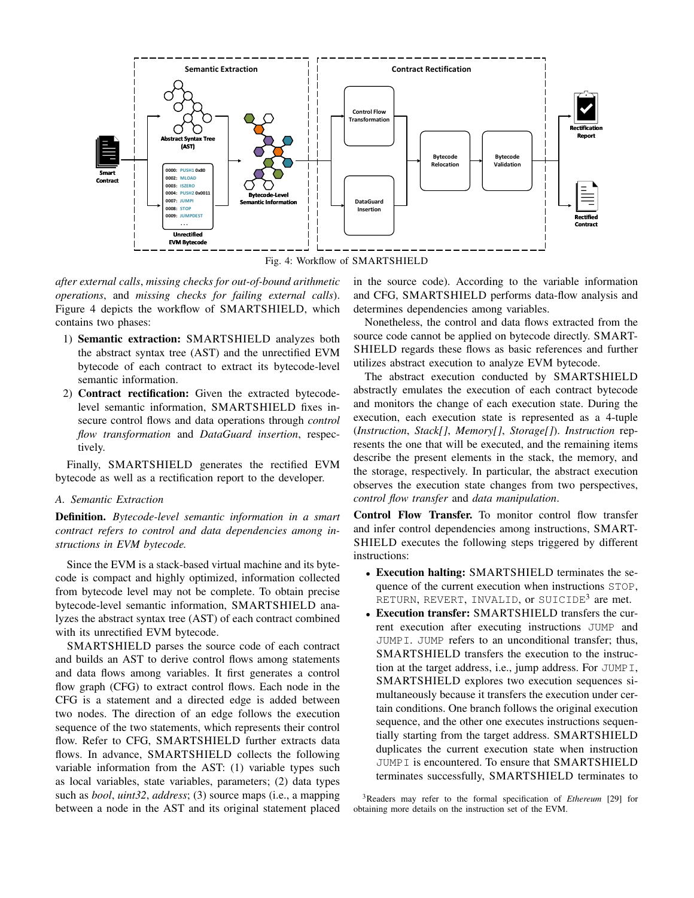

Fig. 4: Workflow of SMARTSHIELD

*after external calls*, *missing checks for out-of-bound arithmetic operations*, and *missing checks for failing external calls*). Figure 4 depicts the workflow of SMARTSHIELD, which contains two phases:

- 1) Semantic extraction: SMARTSHIELD analyzes both the abstract syntax tree (AST) and the unrectified EVM bytecode of each contract to extract its bytecode-level semantic information.
- 2) Contract rectification: Given the extracted bytecodelevel semantic information, SMARTSHIELD fixes insecure control flows and data operations through *control flow transformation* and *DataGuard insertion*, respectively.

Finally, SMARTSHIELD generates the rectified EVM bytecode as well as a rectification report to the developer.

# *A. Semantic Extraction*

Definition. *Bytecode-level semantic information in a smart contract refers to control and data dependencies among instructions in EVM bytecode.*

Since the EVM is a stack-based virtual machine and its bytecode is compact and highly optimized, information collected from bytecode level may not be complete. To obtain precise bytecode-level semantic information, SMARTSHIELD analyzes the abstract syntax tree (AST) of each contract combined with its unrectified EVM bytecode.

SMARTSHIELD parses the source code of each contract and builds an AST to derive control flows among statements and data flows among variables. It first generates a control flow graph (CFG) to extract control flows. Each node in the CFG is a statement and a directed edge is added between two nodes. The direction of an edge follows the execution sequence of the two statements, which represents their control flow. Refer to CFG, SMARTSHIELD further extracts data flows. In advance, SMARTSHIELD collects the following variable information from the AST: (1) variable types such as local variables, state variables, parameters; (2) data types such as *bool*, *uint32*, *address*; (3) source maps (i.e., a mapping between a node in the AST and its original statement placed

in the source code). According to the variable information and CFG, SMARTSHIELD performs data-flow analysis and determines dependencies among variables.

Nonetheless, the control and data flows extracted from the source code cannot be applied on bytecode directly. SMART-SHIELD regards these flows as basic references and further utilizes abstract execution to analyze EVM bytecode.

The abstract execution conducted by SMARTSHIELD abstractly emulates the execution of each contract bytecode and monitors the change of each execution state. During the execution, each execution state is represented as a 4-tuple (*Instruction*, *Stack[]*, *Memory[]*, *Storage[]*). *Instruction* represents the one that will be executed, and the remaining items describe the present elements in the stack, the memory, and the storage, respectively. In particular, the abstract execution observes the execution state changes from two perspectives, *control flow transfer* and *data manipulation*.

Control Flow Transfer. To monitor control flow transfer and infer control dependencies among instructions, SMART-SHIELD executes the following steps triggered by different instructions:

- Execution halting: SMARTSHIELD terminates the sequence of the current execution when instructions STOP, RETURN, REVERT, INVALID, or SUICIDE $^3$  are met.
- Execution transfer: SMARTSHIELD transfers the current execution after executing instructions JUMP and JUMPI. JUMP refers to an unconditional transfer; thus, SMARTSHIELD transfers the execution to the instruction at the target address, i.e., jump address. For JUMPI, SMARTSHIELD explores two execution sequences simultaneously because it transfers the execution under certain conditions. One branch follows the original execution sequence, and the other one executes instructions sequentially starting from the target address. SMARTSHIELD duplicates the current execution state when instruction JUMPI is encountered. To ensure that SMARTSHIELD terminates successfully, SMARTSHIELD terminates to

<sup>3</sup>Readers may refer to the formal specification of *Ethereum* [29] for obtaining more details on the instruction set of the EVM.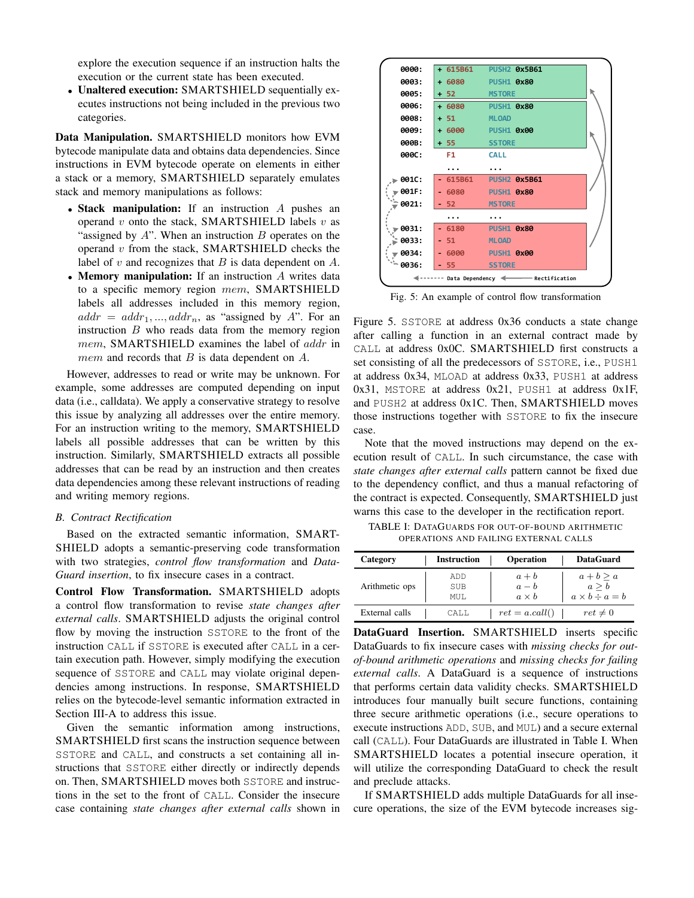explore the execution sequence if an instruction halts the execution or the current state has been executed.

• Unaltered execution: SMARTSHIELD sequentially executes instructions not being included in the previous two categories.

Data Manipulation. SMARTSHIELD monitors how EVM bytecode manipulate data and obtains data dependencies. Since instructions in EVM bytecode operate on elements in either a stack or a memory, SMARTSHIELD separately emulates stack and memory manipulations as follows:

- Stack manipulation: If an instruction A pushes an operand  $v$  onto the stack, SMARTSHIELD labels  $v$  as "assigned by  $A$ ". When an instruction  $B$  operates on the operand  $v$  from the stack, SMARTSHIELD checks the label of  $v$  and recognizes that  $B$  is data dependent on  $A$ .
- Memory manipulation: If an instruction A writes data to a specific memory region mem, SMARTSHIELD labels all addresses included in this memory region,  $addr = addr_1, ..., addr_n$ , as "assigned by A". For an instruction  $B$  who reads data from the memory region mem, SMARTSHIELD examines the label of addr in *mem* and records that  $B$  is data dependent on  $A$ .

However, addresses to read or write may be unknown. For example, some addresses are computed depending on input data (i.e., calldata). We apply a conservative strategy to resolve this issue by analyzing all addresses over the entire memory. For an instruction writing to the memory, SMARTSHIELD labels all possible addresses that can be written by this instruction. Similarly, SMARTSHIELD extracts all possible addresses that can be read by an instruction and then creates data dependencies among these relevant instructions of reading and writing memory regions.

## *B. Contract Rectification*

Based on the extracted semantic information, SMART-SHIELD adopts a semantic-preserving code transformation with two strategies, *control flow transformation* and *Data-Guard insertion*, to fix insecure cases in a contract.

Control Flow Transformation. SMARTSHIELD adopts a control flow transformation to revise *state changes after external calls*. SMARTSHIELD adjusts the original control flow by moving the instruction SSTORE to the front of the instruction CALL if SSTORE is executed after CALL in a certain execution path. However, simply modifying the execution sequence of SSTORE and CALL may violate original dependencies among instructions. In response, SMARTSHIELD relies on the bytecode-level semantic information extracted in Section III-A to address this issue.

Given the semantic information among instructions, SMARTSHIELD first scans the instruction sequence between SSTORE and CALL, and constructs a set containing all instructions that SSTORE either directly or indirectly depends on. Then, SMARTSHIELD moves both SSTORE and instructions in the set to the front of CALL. Consider the insecure case containing *state changes after external calls* shown in



Fig. 5: An example of control flow transformation

Figure 5. SSTORE at address 0x36 conducts a state change after calling a function in an external contract made by CALL at address 0x0C. SMARTSHIELD first constructs a set consisting of all the predecessors of SSTORE, i.e., PUSH1 at address 0x34, MLOAD at address 0x33, PUSH1 at address 0x31, MSTORE at address 0x21, PUSH1 at address 0x1F, and PUSH2 at address 0x1C. Then, SMARTSHIELD moves those instructions together with SSTORE to fix the insecure case.

Note that the moved instructions may depend on the execution result of CALL. In such circumstance, the case with *state changes after external calls* pattern cannot be fixed due to the dependency conflict, and thus a manual refactoring of the contract is expected. Consequently, SMARTSHIELD just warns this case to the developer in the rectification report.

TABLE I: DATAGUARDS FOR OUT-OF-BOUND ARITHMETIC OPERATIONS AND FAILING EXTERNAL CALLS

| Category       | <b>Instruction</b> | <b>Operation</b>                 | <b>DataGuard</b>                                 |
|----------------|--------------------|----------------------------------|--------------------------------------------------|
| Arithmetic ops | ADD<br>SUB<br>MUT. | $a + b$<br>$a-b$<br>$a \times b$ | $a+b \geq a$<br>a > b<br>$a \times b \div a = b$ |
| External calls | CALL.              | $ret = a.call()$                 | $ret \neq 0$                                     |

DataGuard Insertion. SMARTSHIELD inserts specific DataGuards to fix insecure cases with *missing checks for outof-bound arithmetic operations* and *missing checks for failing external calls*. A DataGuard is a sequence of instructions that performs certain data validity checks. SMARTSHIELD introduces four manually built secure functions, containing three secure arithmetic operations (i.e., secure operations to execute instructions ADD, SUB, and MUL) and a secure external call (CALL). Four DataGuards are illustrated in Table I. When SMARTSHIELD locates a potential insecure operation, it will utilize the corresponding DataGuard to check the result and preclude attacks.

If SMARTSHIELD adds multiple DataGuards for all insecure operations, the size of the EVM bytecode increases sig-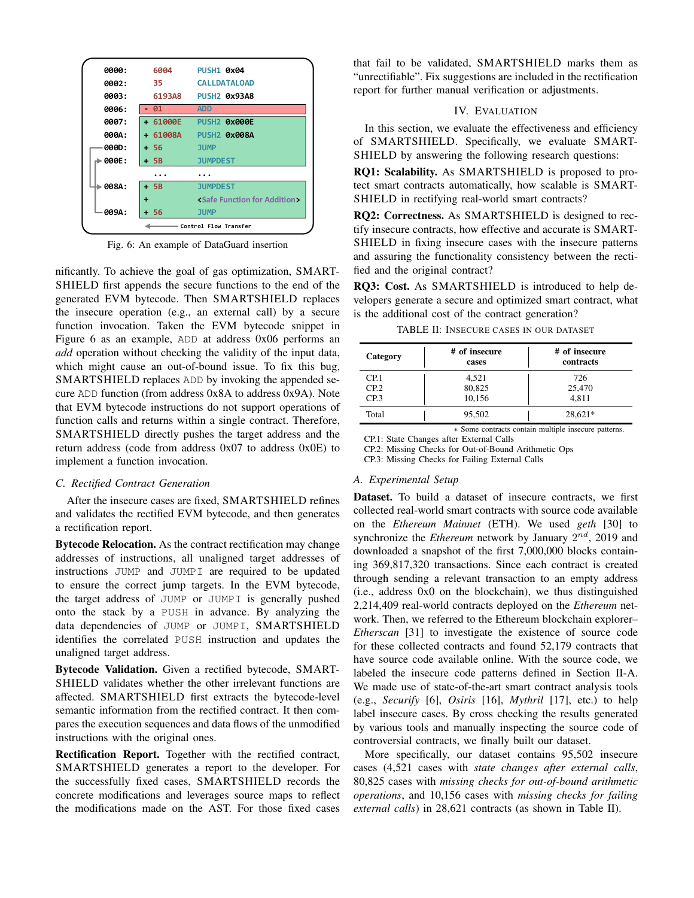| 0000: | 6004       | <b>PUSH1 0x04</b>                            |
|-------|------------|----------------------------------------------|
| 0002: | 35.        | <b>CALLDATALOAD</b>                          |
| 0003: | 6193A8     | <b>PUSH2 0x93A8</b>                          |
| 0006: | - 01       | <b>ADD</b>                                   |
| 0007: | + 61000E   | PUSH <sub>2</sub> 0x000E                     |
| 000A: | $+ 61008A$ | <b>PUSH2 0x008A</b>                          |
| 000D: | $+56$      | <b>JUMP</b>                                  |
| 000E: | $+5B$      | <b>JUMPDEST</b>                              |
|       |            |                                              |
| 008A: | + 5B       | <b>JUMPDEST</b>                              |
|       |            | <safe addition="" for="" function=""></safe> |
| 009A: | + 56       | <b>JUMP</b>                                  |
|       |            | Control Flow Transfer                        |

Fig. 6: An example of DataGuard insertion

nificantly. To achieve the goal of gas optimization, SMART-SHIELD first appends the secure functions to the end of the generated EVM bytecode. Then SMARTSHIELD replaces the insecure operation (e.g., an external call) by a secure function invocation. Taken the EVM bytecode snippet in Figure 6 as an example, ADD at address 0x06 performs an *add* operation without checking the validity of the input data, which might cause an out-of-bound issue. To fix this bug, SMARTSHIELD replaces ADD by invoking the appended secure ADD function (from address 0x8A to address 0x9A). Note that EVM bytecode instructions do not support operations of function calls and returns within a single contract. Therefore, SMARTSHIELD directly pushes the target address and the return address (code from address 0x07 to address 0x0E) to implement a function invocation.

#### *C. Rectified Contract Generation*

After the insecure cases are fixed, SMARTSHIELD refines and validates the rectified EVM bytecode, and then generates a rectification report.

Bytecode Relocation. As the contract rectification may change addresses of instructions, all unaligned target addresses of instructions JUMP and JUMPI are required to be updated to ensure the correct jump targets. In the EVM bytecode, the target address of JUMP or JUMPI is generally pushed onto the stack by a PUSH in advance. By analyzing the data dependencies of JUMP or JUMPI, SMARTSHIELD identifies the correlated PUSH instruction and updates the unaligned target address.

Bytecode Validation. Given a rectified bytecode, SMART-SHIELD validates whether the other irrelevant functions are affected. SMARTSHIELD first extracts the bytecode-level semantic information from the rectified contract. It then compares the execution sequences and data flows of the unmodified instructions with the original ones.

Rectification Report. Together with the rectified contract, SMARTSHIELD generates a report to the developer. For the successfully fixed cases, SMARTSHIELD records the concrete modifications and leverages source maps to reflect the modifications made on the AST. For those fixed cases

that fail to be validated, SMARTSHIELD marks them as "unrectifiable". Fix suggestions are included in the rectification report for further manual verification or adjustments.

## IV. EVALUATION

In this section, we evaluate the effectiveness and efficiency of SMARTSHIELD. Specifically, we evaluate SMART-SHIELD by answering the following research questions:

RQ1: Scalability. As SMARTSHIELD is proposed to protect smart contracts automatically, how scalable is SMART-SHIELD in rectifying real-world smart contracts?

RQ2: Correctness. As SMARTSHIELD is designed to rectify insecure contracts, how effective and accurate is SMART-SHIELD in fixing insecure cases with the insecure patterns and assuring the functionality consistency between the rectified and the original contract?

RQ3: Cost. As SMARTSHIELD is introduced to help developers generate a secure and optimized smart contract, what is the additional cost of the contract generation?

| TABLE II: Insecure cases in our dataset |  |
|-----------------------------------------|--|
|-----------------------------------------|--|

| Category         | # of insecure<br>cases | # of insecure<br>contracts |
|------------------|------------------------|----------------------------|
| CP <sub>1</sub>  | 4,521                  | 726                        |
| CP <sub>.2</sub> | 80,825                 | 25,470                     |
| CP <sub>3</sub>  | 10,156                 | 4.811                      |
| Total            | 95,502                 | 28,621*                    |

∗ Some contracts contain multiple insecure patterns. CP.1: State Changes after External Calls

CP.2: Missing Checks for Out-of-Bound Arithmetic Ops

CP.3: Missing Checks for Failing External Calls

## *A. Experimental Setup*

Dataset. To build a dataset of insecure contracts, we first collected real-world smart contracts with source code available on the *Ethereum Mainnet* (ETH). We used *geth* [30] to synchronize the *Ethereum* network by January  $2^{nd}$ , 2019 and downloaded a snapshot of the first 7,000,000 blocks containing 369,817,320 transactions. Since each contract is created through sending a relevant transaction to an empty address (i.e., address 0x0 on the blockchain), we thus distinguished 2,214,409 real-world contracts deployed on the *Ethereum* network. Then, we referred to the Ethereum blockchain explorer– *Etherscan* [31] to investigate the existence of source code for these collected contracts and found 52,179 contracts that have source code available online. With the source code, we labeled the insecure code patterns defined in Section II-A. We made use of state-of-the-art smart contract analysis tools (e.g., *Securify* [6], *Osiris* [16], *Mythril* [17], etc.) to help label insecure cases. By cross checking the results generated by various tools and manually inspecting the source code of controversial contracts, we finally built our dataset.

More specifically, our dataset contains 95,502 insecure cases (4,521 cases with *state changes after external calls*, 80,825 cases with *missing checks for out-of-bound arithmetic operations*, and 10,156 cases with *missing checks for failing external calls*) in 28,621 contracts (as shown in Table II).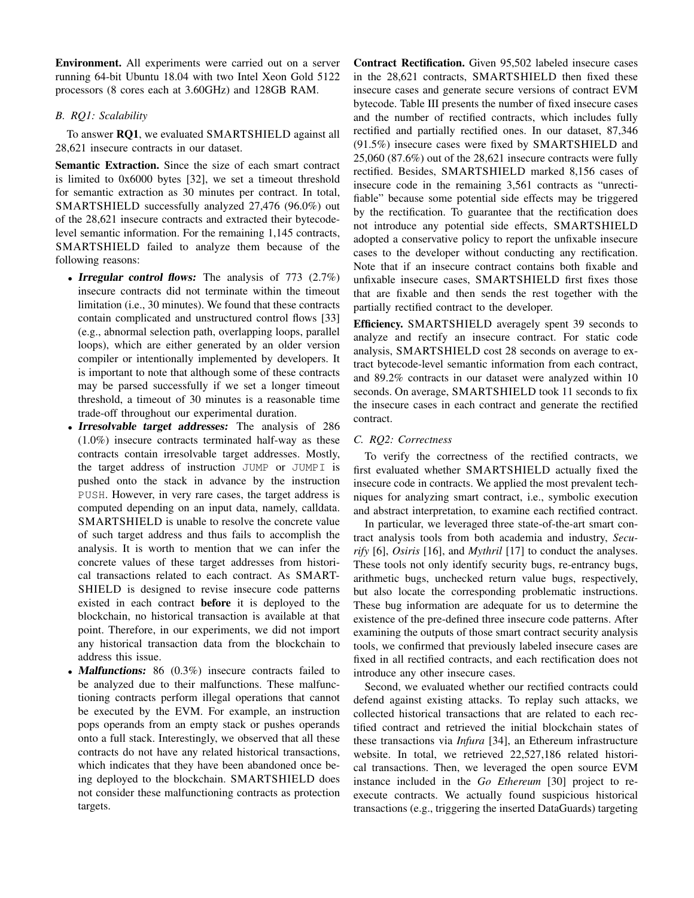Environment. All experiments were carried out on a server running 64-bit Ubuntu 18.04 with two Intel Xeon Gold 5122 processors (8 cores each at 3.60GHz) and 128GB RAM.

# *B. RQ1: Scalability*

To answer RQ1, we evaluated SMARTSHIELD against all 28,621 insecure contracts in our dataset.

Semantic Extraction. Since the size of each smart contract is limited to 0x6000 bytes [32], we set a timeout threshold for semantic extraction as 30 minutes per contract. In total, SMARTSHIELD successfully analyzed 27,476 (96.0%) out of the 28,621 insecure contracts and extracted their bytecodelevel semantic information. For the remaining 1,145 contracts, SMARTSHIELD failed to analyze them because of the following reasons:

- **Irregular control flows:** The analysis of 773 (2.7%) insecure contracts did not terminate within the timeout limitation (i.e., 30 minutes). We found that these contracts contain complicated and unstructured control flows [33] (e.g., abnormal selection path, overlapping loops, parallel loops), which are either generated by an older version compiler or intentionally implemented by developers. It is important to note that although some of these contracts may be parsed successfully if we set a longer timeout threshold, a timeout of 30 minutes is a reasonable time trade-off throughout our experimental duration.
- Irresolvable target addresses: The analysis of 286 (1.0%) insecure contracts terminated half-way as these contracts contain irresolvable target addresses. Mostly, the target address of instruction JUMP or JUMPI is pushed onto the stack in advance by the instruction PUSH. However, in very rare cases, the target address is computed depending on an input data, namely, calldata. SMARTSHIELD is unable to resolve the concrete value of such target address and thus fails to accomplish the analysis. It is worth to mention that we can infer the concrete values of these target addresses from historical transactions related to each contract. As SMART-SHIELD is designed to revise insecure code patterns existed in each contract before it is deployed to the blockchain, no historical transaction is available at that point. Therefore, in our experiments, we did not import any historical transaction data from the blockchain to address this issue.
- Malfunctions: 86 (0.3%) insecure contracts failed to be analyzed due to their malfunctions. These malfunctioning contracts perform illegal operations that cannot be executed by the EVM. For example, an instruction pops operands from an empty stack or pushes operands onto a full stack. Interestingly, we observed that all these contracts do not have any related historical transactions, which indicates that they have been abandoned once being deployed to the blockchain. SMARTSHIELD does not consider these malfunctioning contracts as protection targets.

Contract Rectification. Given 95,502 labeled insecure cases in the 28,621 contracts, SMARTSHIELD then fixed these insecure cases and generate secure versions of contract EVM bytecode. Table III presents the number of fixed insecure cases and the number of rectified contracts, which includes fully rectified and partially rectified ones. In our dataset, 87,346 (91.5%) insecure cases were fixed by SMARTSHIELD and 25,060 (87.6%) out of the 28,621 insecure contracts were fully rectified. Besides, SMARTSHIELD marked 8,156 cases of insecure code in the remaining 3,561 contracts as "unrectifiable" because some potential side effects may be triggered by the rectification. To guarantee that the rectification does not introduce any potential side effects, SMARTSHIELD adopted a conservative policy to report the unfixable insecure cases to the developer without conducting any rectification. Note that if an insecure contract contains both fixable and unfixable insecure cases, SMARTSHIELD first fixes those that are fixable and then sends the rest together with the partially rectified contract to the developer.

Efficiency. SMARTSHIELD averagely spent 39 seconds to analyze and rectify an insecure contract. For static code analysis, SMARTSHIELD cost 28 seconds on average to extract bytecode-level semantic information from each contract, and 89.2% contracts in our dataset were analyzed within 10 seconds. On average, SMARTSHIELD took 11 seconds to fix the insecure cases in each contract and generate the rectified contract.

# *C. RQ2: Correctness*

To verify the correctness of the rectified contracts, we first evaluated whether SMARTSHIELD actually fixed the insecure code in contracts. We applied the most prevalent techniques for analyzing smart contract, i.e., symbolic execution and abstract interpretation, to examine each rectified contract.

In particular, we leveraged three state-of-the-art smart contract analysis tools from both academia and industry, *Securify* [6], *Osiris* [16], and *Mythril* [17] to conduct the analyses. These tools not only identify security bugs, re-entrancy bugs, arithmetic bugs, unchecked return value bugs, respectively, but also locate the corresponding problematic instructions. These bug information are adequate for us to determine the existence of the pre-defined three insecure code patterns. After examining the outputs of those smart contract security analysis tools, we confirmed that previously labeled insecure cases are fixed in all rectified contracts, and each rectification does not introduce any other insecure cases.

Second, we evaluated whether our rectified contracts could defend against existing attacks. To replay such attacks, we collected historical transactions that are related to each rectified contract and retrieved the initial blockchain states of these transactions via *Infura* [34], an Ethereum infrastructure website. In total, we retrieved 22,527,186 related historical transactions. Then, we leveraged the open source EVM instance included in the *Go Ethereum* [30] project to reexecute contracts. We actually found suspicious historical transactions (e.g., triggering the inserted DataGuards) targeting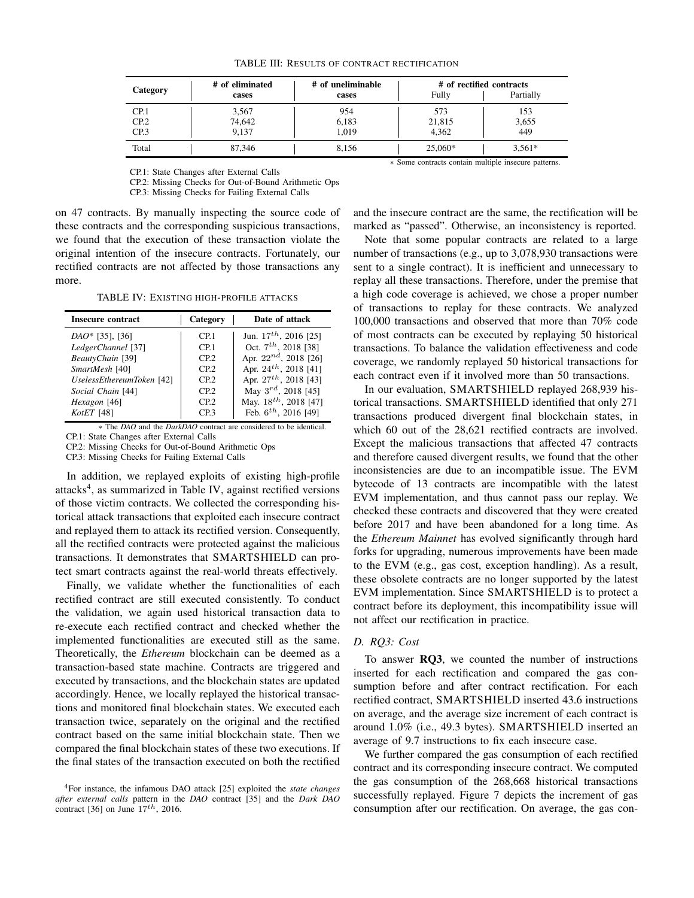|                  | # of eliminated | # of uneliminable | # of rectified contracts |           |
|------------------|-----------------|-------------------|--------------------------|-----------|
| Category         | cases           | cases             | Fully                    | Partially |
| CP.1             | 3,567           | 954               | 573                      | 153       |
| CP.2             | 74,642          | 6,183             | 21,815                   | 3,655     |
| CP <sub>.3</sub> | 9.137           | 1.019             | 4.362                    | 449       |
| Total            | 87,346          | 8,156             | 25,060*                  | $3,561*$  |

### TABLE III: RESULTS OF CONTRACT RECTIFICATION

CP.1: State Changes after External Calls

CP.2: Missing Checks for Out-of-Bound Arithmetic Ops CP.3: Missing Checks for Failing External Calls

on 47 contracts. By manually inspecting the source code of these contracts and the corresponding suspicious transactions, we found that the execution of these transaction violate the original intention of the insecure contracts. Fortunately, our rectified contracts are not affected by those transactions any more.

TABLE IV: EXISTING HIGH-PROFILE ATTACKS

| Insecure contract         | Category        | Date of attack             |
|---------------------------|-----------------|----------------------------|
| $DAO*$ [35], [36]         | CP <sub>1</sub> | Jun. $17^{th}$ , 2016 [25] |
| LedgerChannel [37]        | CP <sub>1</sub> | Oct. $7^{th}$ , 2018 [38]  |
| BeautyChain [39]          | CP <sub>2</sub> | Apr. $22^{nd}$ , 2018 [26] |
| SmartMesh [40]            | CP <sub>2</sub> | Apr. $24^{th}$ , 2018 [41] |
| UselessEthereumToken [42] | CP <sub>2</sub> | Apr. $27^{th}$ , 2018 [43] |
| Social Chain [44]         | CP <sub>2</sub> | May $3^{rd}$ , 2018 [45]   |
| Hexagon [46]              | CP <sub>2</sub> | May. $18^{th}$ , 2018 [47] |
| KotET [48]                | CP <sub>3</sub> | Feb. $6^{th}$ , 2016 [49]  |

∗ The *DAO* and the *DarkDAO* contract are considered to be identical. CP.1: State Changes after External Calls

CP.2: Missing Checks for Out-of-Bound Arithmetic Ops

CP.3: Missing Checks for Failing External Calls

In addition, we replayed exploits of existing high-profile attacks<sup>4</sup>, as summarized in Table IV, against rectified versions of those victim contracts. We collected the corresponding historical attack transactions that exploited each insecure contract and replayed them to attack its rectified version. Consequently, all the rectified contracts were protected against the malicious transactions. It demonstrates that SMARTSHIELD can protect smart contracts against the real-world threats effectively.

Finally, we validate whether the functionalities of each rectified contract are still executed consistently. To conduct the validation, we again used historical transaction data to re-execute each rectified contract and checked whether the implemented functionalities are executed still as the same. Theoretically, the *Ethereum* blockchain can be deemed as a transaction-based state machine. Contracts are triggered and executed by transactions, and the blockchain states are updated accordingly. Hence, we locally replayed the historical transactions and monitored final blockchain states. We executed each transaction twice, separately on the original and the rectified contract based on the same initial blockchain state. Then we compared the final blockchain states of these two executions. If the final states of the transaction executed on both the rectified

∗ Some contracts contain multiple insecure patterns.

and the insecure contract are the same, the rectification will be marked as "passed". Otherwise, an inconsistency is reported.

Note that some popular contracts are related to a large number of transactions (e.g., up to 3,078,930 transactions were sent to a single contract). It is inefficient and unnecessary to replay all these transactions. Therefore, under the premise that a high code coverage is achieved, we chose a proper number of transactions to replay for these contracts. We analyzed 100,000 transactions and observed that more than 70% code of most contracts can be executed by replaying 50 historical transactions. To balance the validation effectiveness and code coverage, we randomly replayed 50 historical transactions for each contract even if it involved more than 50 transactions.

In our evaluation, SMARTSHIELD replayed 268,939 historical transactions. SMARTSHIELD identified that only 271 transactions produced divergent final blockchain states, in which 60 out of the 28,621 rectified contracts are involved. Except the malicious transactions that affected 47 contracts and therefore caused divergent results, we found that the other inconsistencies are due to an incompatible issue. The EVM bytecode of 13 contracts are incompatible with the latest EVM implementation, and thus cannot pass our replay. We checked these contracts and discovered that they were created before 2017 and have been abandoned for a long time. As the *Ethereum Mainnet* has evolved significantly through hard forks for upgrading, numerous improvements have been made to the EVM (e.g., gas cost, exception handling). As a result, these obsolete contracts are no longer supported by the latest EVM implementation. Since SMARTSHIELD is to protect a contract before its deployment, this incompatibility issue will not affect our rectification in practice.

## *D. RQ3: Cost*

To answer RQ3, we counted the number of instructions inserted for each rectification and compared the gas consumption before and after contract rectification. For each rectified contract, SMARTSHIELD inserted 43.6 instructions on average, and the average size increment of each contract is around 1.0% (i.e., 49.3 bytes). SMARTSHIELD inserted an average of 9.7 instructions to fix each insecure case.

We further compared the gas consumption of each rectified contract and its corresponding insecure contract. We computed the gas consumption of the 268,668 historical transactions successfully replayed. Figure 7 depicts the increment of gas consumption after our rectification. On average, the gas con-

<sup>4</sup>For instance, the infamous DAO attack [25] exploited the *state changes after external calls* pattern in the *DAO* contract [35] and the *Dark DAO* contract [36] on June  $17^{th}$ , 2016.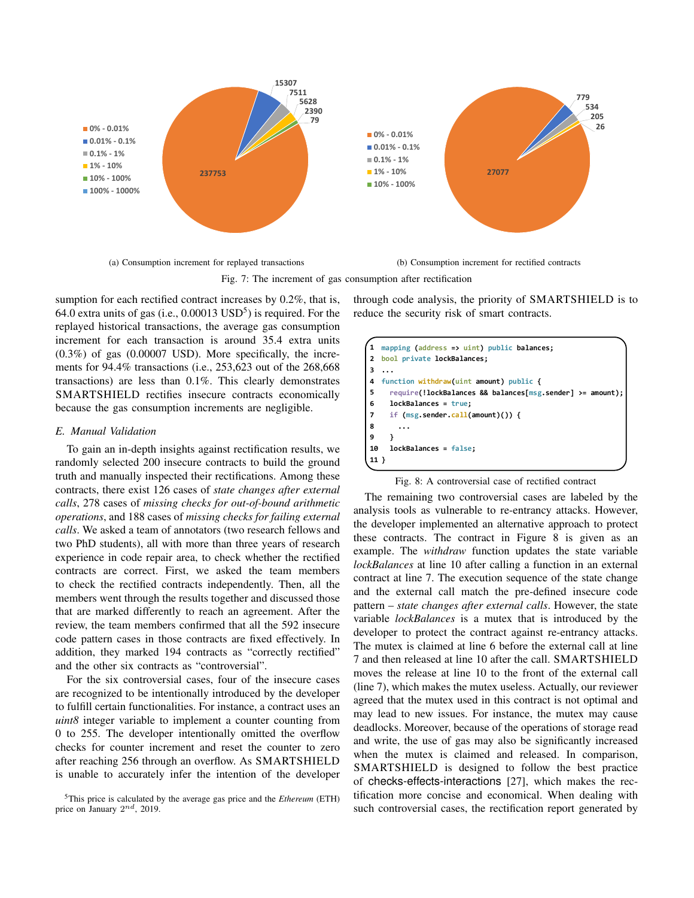

(a) Consumption increment for replayed transactions

(b) Consumption increment for rectified contracts

Fig. 7: The increment of gas consumption after rectification

sumption for each rectified contract increases by 0.2%, that is, 64.0 extra units of gas (i.e.,  $0.00013$  USD<sup>5</sup>) is required. For the replayed historical transactions, the average gas consumption increment for each transaction is around 35.4 extra units (0.3%) of gas (0.00007 USD). More specifically, the increments for 94.4% transactions (i.e., 253,623 out of the 268,668 transactions) are less than 0.1%. This clearly demonstrates SMARTSHIELD rectifies insecure contracts economically because the gas consumption increments are negligible.

## *E. Manual Validation*

To gain an in-depth insights against rectification results, we randomly selected 200 insecure contracts to build the ground truth and manually inspected their rectifications. Among these contracts, there exist 126 cases of *state changes after external calls*, 278 cases of *missing checks for out-of-bound arithmetic operations*, and 188 cases of *missing checks for failing external calls*. We asked a team of annotators (two research fellows and two PhD students), all with more than three years of research experience in code repair area, to check whether the rectified contracts are correct. First, we asked the team members to check the rectified contracts independently. Then, all the members went through the results together and discussed those that are marked differently to reach an agreement. After the review, the team members confirmed that all the 592 insecure code pattern cases in those contracts are fixed effectively. In addition, they marked 194 contracts as "correctly rectified" and the other six contracts as "controversial".

For the six controversial cases, four of the insecure cases are recognized to be intentionally introduced by the developer to fulfill certain functionalities. For instance, a contract uses an *uint8* integer variable to implement a counter counting from 0 to 255. The developer intentionally omitted the overflow checks for counter increment and reset the counter to zero after reaching 256 through an overflow. As SMARTSHIELD is unable to accurately infer the intention of the developer through code analysis, the priority of SMARTSHIELD is to reduce the security risk of smart contracts.

|                | mapping (address => $uint$ ) public balances;             |
|----------------|-----------------------------------------------------------|
| $\mathcal{P}$  | bool private lockBalances;                                |
| з              |                                                           |
| 4              | function withdraw(uint amount) public {                   |
| 5              | require(!lockBalances && balances[msg.sender] >= amount); |
| 6              | lockBalances = true;                                      |
| $\overline{7}$ | if $(msg.sender.call(amount))$ {                          |
| 8              |                                                           |
| 9              |                                                           |
| 10             | $lockBalances = false;$                                   |
|                |                                                           |

#### Fig. 8: A controversial case of rectified contract

The remaining two controversial cases are labeled by the analysis tools as vulnerable to re-entrancy attacks. However, the developer implemented an alternative approach to protect these contracts. The contract in Figure 8 is given as an example. The *withdraw* function updates the state variable *lockBalances* at line 10 after calling a function in an external contract at line 7. The execution sequence of the state change and the external call match the pre-defined insecure code pattern – *state changes after external calls*. However, the state variable *lockBalances* is a mutex that is introduced by the developer to protect the contract against re-entrancy attacks. The mutex is claimed at line 6 before the external call at line 7 and then released at line 10 after the call. SMARTSHIELD moves the release at line 10 to the front of the external call (line 7), which makes the mutex useless. Actually, our reviewer agreed that the mutex used in this contract is not optimal and may lead to new issues. For instance, the mutex may cause deadlocks. Moreover, because of the operations of storage read and write, the use of gas may also be significantly increased when the mutex is claimed and released. In comparison, SMARTSHIELD is designed to follow the best practice of checks-effects-interactions [27], which makes the rectification more concise and economical. When dealing with such controversial cases, the rectification report generated by

<sup>5</sup>This price is calculated by the average gas price and the *Ethereum* (ETH) price on January  $2^{nd}$ , 2019.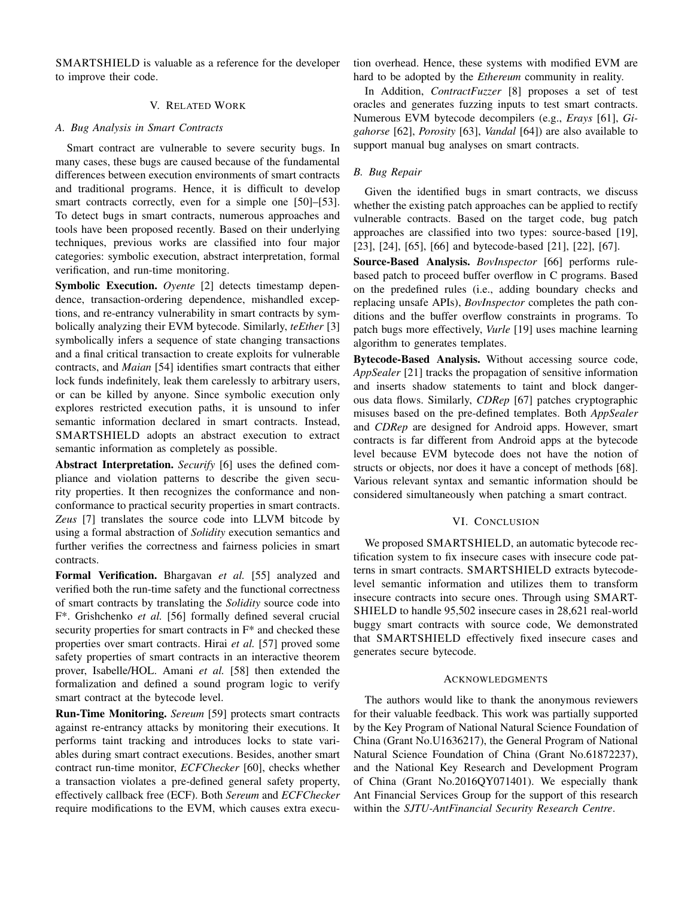SMARTSHIELD is valuable as a reference for the developer to improve their code.

## V. RELATED WORK

## *A. Bug Analysis in Smart Contracts*

Smart contract are vulnerable to severe security bugs. In many cases, these bugs are caused because of the fundamental differences between execution environments of smart contracts and traditional programs. Hence, it is difficult to develop smart contracts correctly, even for a simple one [50]–[53]. To detect bugs in smart contracts, numerous approaches and tools have been proposed recently. Based on their underlying techniques, previous works are classified into four major categories: symbolic execution, abstract interpretation, formal verification, and run-time monitoring.

Symbolic Execution. *Oyente* [2] detects timestamp dependence, transaction-ordering dependence, mishandled exceptions, and re-entrancy vulnerability in smart contracts by symbolically analyzing their EVM bytecode. Similarly, *teEther* [3] symbolically infers a sequence of state changing transactions and a final critical transaction to create exploits for vulnerable contracts, and *Maian* [54] identifies smart contracts that either lock funds indefinitely, leak them carelessly to arbitrary users, or can be killed by anyone. Since symbolic execution only explores restricted execution paths, it is unsound to infer semantic information declared in smart contracts. Instead, SMARTSHIELD adopts an abstract execution to extract semantic information as completely as possible.

Abstract Interpretation. *Securify* [6] uses the defined compliance and violation patterns to describe the given security properties. It then recognizes the conformance and nonconformance to practical security properties in smart contracts. *Zeus* [7] translates the source code into LLVM bitcode by using a formal abstraction of *Solidity* execution semantics and further verifies the correctness and fairness policies in smart contracts.

Formal Verification. Bhargavan *et al.* [55] analyzed and verified both the run-time safety and the functional correctness of smart contracts by translating the *Solidity* source code into F\*. Grishchenko *et al.* [56] formally defined several crucial security properties for smart contracts in  $F^*$  and checked these properties over smart contracts. Hirai *et al.* [57] proved some safety properties of smart contracts in an interactive theorem prover, Isabelle/HOL. Amani *et al.* [58] then extended the formalization and defined a sound program logic to verify smart contract at the bytecode level.

Run-Time Monitoring. *Sereum* [59] protects smart contracts against re-entrancy attacks by monitoring their executions. It performs taint tracking and introduces locks to state variables during smart contract executions. Besides, another smart contract run-time monitor, *ECFChecker* [60], checks whether a transaction violates a pre-defined general safety property, effectively callback free (ECF). Both *Sereum* and *ECFChecker* require modifications to the EVM, which causes extra execution overhead. Hence, these systems with modified EVM are hard to be adopted by the *Ethereum* community in reality.

In Addition, *ContractFuzzer* [8] proposes a set of test oracles and generates fuzzing inputs to test smart contracts. Numerous EVM bytecode decompilers (e.g., *Erays* [61], *Gigahorse* [62], *Porosity* [63], *Vandal* [64]) are also available to support manual bug analyses on smart contracts.

## *B. Bug Repair*

Given the identified bugs in smart contracts, we discuss whether the existing patch approaches can be applied to rectify vulnerable contracts. Based on the target code, bug patch approaches are classified into two types: source-based [19], [23], [24], [65], [66] and bytecode-based [21], [22], [67].

Source-Based Analysis. *BovInspector* [66] performs rulebased patch to proceed buffer overflow in C programs. Based on the predefined rules (i.e., adding boundary checks and replacing unsafe APIs), *BovInspector* completes the path conditions and the buffer overflow constraints in programs. To patch bugs more effectively, *Vurle* [19] uses machine learning algorithm to generates templates.

Bytecode-Based Analysis. Without accessing source code, *AppSealer* [21] tracks the propagation of sensitive information and inserts shadow statements to taint and block dangerous data flows. Similarly, *CDRep* [67] patches cryptographic misuses based on the pre-defined templates. Both *AppSealer* and *CDRep* are designed for Android apps. However, smart contracts is far different from Android apps at the bytecode level because EVM bytecode does not have the notion of structs or objects, nor does it have a concept of methods [68]. Various relevant syntax and semantic information should be considered simultaneously when patching a smart contract.

## VI. CONCLUSION

We proposed SMARTSHIELD, an automatic bytecode rectification system to fix insecure cases with insecure code patterns in smart contracts. SMARTSHIELD extracts bytecodelevel semantic information and utilizes them to transform insecure contracts into secure ones. Through using SMART-SHIELD to handle 95,502 insecure cases in 28,621 real-world buggy smart contracts with source code, We demonstrated that SMARTSHIELD effectively fixed insecure cases and generates secure bytecode.

## ACKNOWLEDGMENTS

The authors would like to thank the anonymous reviewers for their valuable feedback. This work was partially supported by the Key Program of National Natural Science Foundation of China (Grant No.U1636217), the General Program of National Natural Science Foundation of China (Grant No.61872237), and the National Key Research and Development Program of China (Grant No.2016QY071401). We especially thank Ant Financial Services Group for the support of this research within the *SJTU-AntFinancial Security Research Centre*.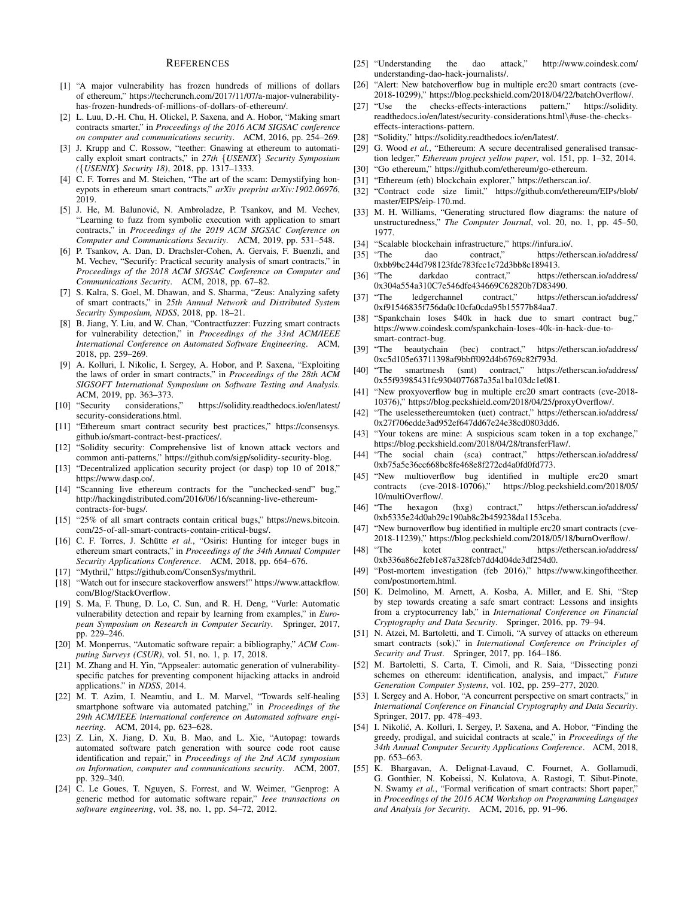#### **REFERENCES**

- [1] "A major vulnerability has frozen hundreds of millions of dollars of ethereum," https://techcrunch.com/2017/11/07/a-major-vulnerabilityhas-frozen-hundreds-of-millions-of-dollars-of-ethereum/.
- [2] L. Luu, D.-H. Chu, H. Olickel, P. Saxena, and A. Hobor, "Making smart contracts smarter," in *Proceedings of the 2016 ACM SIGSAC conference on computer and communications security*. ACM, 2016, pp. 254–269.
- [3] J. Krupp and C. Rossow, "teether: Gnawing at ethereum to automatically exploit smart contracts," in *27th* {*USENIX*} *Security Symposium (*{*USENIX*} *Security 18)*, 2018, pp. 1317–1333.
- [4] C. F. Torres and M. Steichen, "The art of the scam: Demystifying honeypots in ethereum smart contracts," *arXiv preprint arXiv:1902.06976*, 2019.
- [5] J. He, M. Balunović, N. Ambroladze, P. Tsankov, and M. Vechev, "Learning to fuzz from symbolic execution with application to smart contracts," in *Proceedings of the 2019 ACM SIGSAC Conference on Computer and Communications Security*. ACM, 2019, pp. 531–548.
- [6] P. Tsankov, A. Dan, D. Drachsler-Cohen, A. Gervais, F. Buenzli, and M. Vechev, "Securify: Practical security analysis of smart contracts," in *Proceedings of the 2018 ACM SIGSAC Conference on Computer and Communications Security*. ACM, 2018, pp. 67–82.
- [7] S. Kalra, S. Goel, M. Dhawan, and S. Sharma, "Zeus: Analyzing safety of smart contracts," in *25th Annual Network and Distributed System Security Symposium, NDSS*, 2018, pp. 18–21.
- [8] B. Jiang, Y. Liu, and W. Chan, "Contractfuzzer: Fuzzing smart contracts for vulnerability detection," in *Proceedings of the 33rd ACM/IEEE International Conference on Automated Software Engineering*. ACM, 2018, pp. 259–269.
- [9] A. Kolluri, I. Nikolic, I. Sergey, A. Hobor, and P. Saxena, "Exploiting the laws of order in smart contracts," in *Proceedings of the 28th ACM SIGSOFT International Symposium on Software Testing and Analysis*. ACM, 2019, pp. 363–373.<br>"Security considerations,"
- [10] "Security considerations," https://solidity.readthedocs.io/en/latest/ security-considerations.html.
- [11] "Ethereum smart contract security best practices," https://consensys. github.io/smart-contract-best-practices/.
- [12] "Solidity security: Comprehensive list of known attack vectors and common anti-patterns," https://github.com/sigp/solidity-security-blog.
- [13] "Decentralized application security project (or dasp) top 10 of 2018," https://www.dasp.co/.
- [14] "Scanning live ethereum contracts for the "unchecked-send" bug," http://hackingdistributed.com/2016/06/16/scanning-live-ethereumcontracts-for-bugs/.
- [15] "25% of all smart contracts contain critical bugs," https://news.bitcoin. com/25-of-all-smart-contracts-contain-critical-bugs/.
- [16] C. F. Torres, J. Schütte et al., "Osiris: Hunting for integer bugs in ethereum smart contracts," in *Proceedings of the 34th Annual Computer Security Applications Conference*. ACM, 2018, pp. 664–676.
- [17] "Mythril," https://github.com/ConsenSys/mythril.
- [18] "Watch out for insecure stackoverflow answers!" https://www.attackflow. com/Blog/StackOverflow.
- [19] S. Ma, F. Thung, D. Lo, C. Sun, and R. H. Deng, "Vurle: Automatic vulnerability detection and repair by learning from examples," in *European Symposium on Research in Computer Security*. Springer, 2017, pp. 229–246.
- [20] M. Monperrus, "Automatic software repair: a bibliography," *ACM Computing Surveys (CSUR)*, vol. 51, no. 1, p. 17, 2018.
- [21] M. Zhang and H. Yin, "Appsealer: automatic generation of vulnerabilityspecific patches for preventing component hijacking attacks in android applications." in *NDSS*, 2014.
- [22] M. T. Azim, I. Neamtiu, and L. M. Marvel, "Towards self-healing smartphone software via automated patching," in *Proceedings of the 29th ACM/IEEE international conference on Automated software engineering*. ACM, 2014, pp. 623–628.
- [23] Z. Lin, X. Jiang, D. Xu, B. Mao, and L. Xie, "Autopag: towards automated software patch generation with source code root cause identification and repair," in *Proceedings of the 2nd ACM symposium on Information, computer and communications security*. ACM, 2007, pp. 329–340.
- [24] C. Le Goues, T. Nguyen, S. Forrest, and W. Weimer, "Genprog: A generic method for automatic software repair," *Ieee transactions on software engineering*, vol. 38, no. 1, pp. 54–72, 2012.
- [25] "Understanding the dao attack," http://www.coindesk.com/ understanding-dao-hack-journalists/.
- [26] "Alert: New batchoverflow bug in multiple erc20 smart contracts (cve-2018-10299)," https://blog.peckshield.com/2018/04/22/batchOverflow/.
- [27] "Use the checks-effects-interactions pattern," https://solidity. readthedocs.io/en/latest/security-considerations.html\#use-the-checkseffects-interactions-pattern.
- [28] "Solidity," https://solidity.readthedocs.io/en/latest/.
- [29] G. Wood et al., "Ethereum: A secure decentralised generalised transaction ledger," *Ethereum project yellow paper*, vol. 151, pp. 1–32, 2014.
- [30] "Go ethereum," https://github.com/ethereum/go-ethereum.
- [31] "Ethereum (eth) blockchain explorer," https://etherscan.io/.
- [32] "Contract code size limit," https://github.com/ethereum/EIPs/blob/ master/EIPS/eip-170.md.
- [33] M. H. Williams, "Generating structured flow diagrams: the nature of unstructuredness," *The Computer Journal*, vol. 20, no. 1, pp. 45–50, 1977.
- [34] "Scalable blockchain infrastructure," https://infura.io/.<br>[35] "The dao contract," https://eth
- dao contract," https://etherscan.io/address/ 0xbb9bc244d798123fde783fcc1c72d3bb8c189413.
- [36] "The darkdao contract," https://etherscan.io/address/ 0x304a554a310C7e546dfe434669C62820b7D83490.<br>[37] "The ledgerchannel contract," https://et
- ledgerchannel contract," https://etherscan.io/address/ 0xf91546835f756da0c10cfa0cda95b15577b84aa7.
- [38] "Spankchain loses \$40k in hack due to smart contract bug," https://www.coindesk.com/spankchain-loses-40k-in-hack-due-tosmart-contract-bug.
- [39] "The beautychain (bec) contract," https://etherscan.io/address/ 0xc5d105e63711398af9bbff092d4b6769c82f793d.
- [40] "The smartmesh (smt) contract," https://etherscan.io/address/ 0x55f93985431fc9304077687a35a1ba103dc1e081.
- [41] "New proxyoverflow bug in multiple erc20 smart contracts (cve-2018- 10376)," https://blog.peckshield.com/2018/04/25/proxyOverflow/.
- [42] "The uselessethereumtoken (uet) contract," https://etherscan.io/address/ 0x27f706edde3ad952ef647dd67e24e38cd0803dd6.
- [43] "Your tokens are mine: A suspicious scam token in a top exchange," https://blog.peckshield.com/2018/04/28/transferFlaw/.
- [44] "The social chain (sca) contract," https://etherscan.io/address/ 0xb75a5e36cc668bc8fe468e8f272cd4a0fd0fd773.
- [45] "New multioverflow bug identified in multiple erc20 smart contracts (cve-2018-10706)," https://blog.peckshield.com/2018/05/ 10/multiOverflow/.
- [46] "The hexagon (hxg) contract," https://etherscan.io/address/ 0xb5335e24d0ab29c190ab8c2b459238da1153ceba.
- [47] "New burnoverflow bug identified in multiple erc20 smart contracts (cve-2018-11239)," https://blog.peckshield.com/2018/05/18/burnOverflow/.
- [48] "The kotet contract," https://etherscan.io/address/ 0xb336a86e2feb1e87a328fcb7dd4d04de3df254d0.
- [49] "Post-mortem investigation (feb 2016)," https://www.kingoftheether. com/postmortem.html.
- [50] K. Delmolino, M. Arnett, A. Kosba, A. Miller, and E. Shi, "Step by step towards creating a safe smart contract: Lessons and insights from a cryptocurrency lab," in *International Conference on Financial Cryptography and Data Security*. Springer, 2016, pp. 79–94.
- [51] N. Atzei, M. Bartoletti, and T. Cimoli, "A survey of attacks on ethereum smart contracts (sok)," in *International Conference on Principles of Security and Trust*. Springer, 2017, pp. 164–186.
- [52] M. Bartoletti, S. Carta, T. Cimoli, and R. Saia, "Dissecting ponzi schemes on ethereum: identification, analysis, and impact," *Future Generation Computer Systems*, vol. 102, pp. 259–277, 2020.
- [53] I. Sergey and A. Hobor, "A concurrent perspective on smart contracts," in *International Conference on Financial Cryptography and Data Security*. Springer, 2017, pp. 478–493.
- [54] I. Nikolić, A. Kolluri, I. Sergey, P. Saxena, and A. Hobor, "Finding the greedy, prodigal, and suicidal contracts at scale," in *Proceedings of the 34th Annual Computer Security Applications Conference*. ACM, 2018, pp. 653–663.
- [55] K. Bhargavan, A. Delignat-Lavaud, C. Fournet, A. Gollamudi, G. Gonthier, N. Kobeissi, N. Kulatova, A. Rastogi, T. Sibut-Pinote, N. Swamy *et al.*, "Formal verification of smart contracts: Short paper," in *Proceedings of the 2016 ACM Workshop on Programming Languages and Analysis for Security*. ACM, 2016, pp. 91–96.